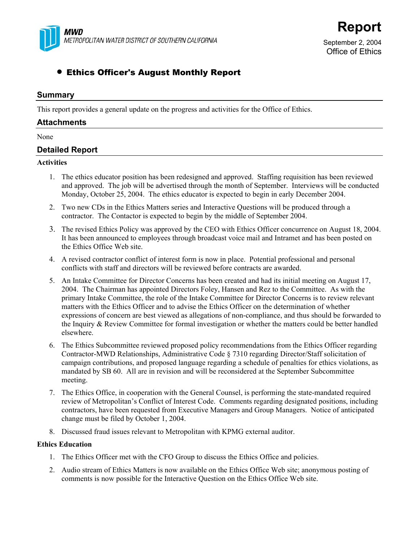

Office of Ethics

# • Ethics Officer's August Monthly Report

# **Summary**

This report provides a general update on the progress and activities for the Office of Ethics.

## **Attachments**

#### None

# **Detailed Report**

### **Activities**

- 1. The ethics educator position has been redesigned and approved. Staffing requisition has been reviewed and approved. The job will be advertised through the month of September. Interviews will be conducted Monday, October 25, 2004. The ethics educator is expected to begin in early December 2004.
- 2. Two new CDs in the Ethics Matters series and Interactive Questions will be produced through a contractor. The Contactor is expected to begin by the middle of September 2004.
- 3. The revised Ethics Policy was approved by the CEO with Ethics Officer concurrence on August 18, 2004. It has been announced to employees through broadcast voice mail and Intramet and has been posted on the Ethics Office Web site.
- 4. A revised contractor conflict of interest form is now in place. Potential professional and personal conflicts with staff and directors will be reviewed before contracts are awarded.
- 5. An Intake Committee for Director Concerns has been created and had its initial meeting on August 17, 2004. The Chairman has appointed Directors Foley, Hansen and Rez to the Committee. As with the primary Intake Committee, the role of the Intake Committee for Director Concerns is to review relevant matters with the Ethics Officer and to advise the Ethics Officer on the determination of whether expressions of concern are best viewed as allegations of non-compliance, and thus should be forwarded to the Inquiry & Review Committee for formal investigation or whether the matters could be better handled elsewhere.
- 6. The Ethics Subcommittee reviewed proposed policy recommendations from the Ethics Officer regarding Contractor-MWD Relationships, Administrative Code § 7310 regarding Director/Staff solicitation of campaign contributions, and proposed language regarding a schedule of penalties for ethics violations, as mandated by SB 60. All are in revision and will be reconsidered at the September Subcommittee meeting.
- 7. The Ethics Office, in cooperation with the General Counsel, is performing the state-mandated required review of Metropolitan's Conflict of Interest Code. Comments regarding designated positions, including contractors, have been requested from Executive Managers and Group Managers. Notice of anticipated change must be filed by October 1, 2004.
- 8. Discussed fraud issues relevant to Metropolitan with KPMG external auditor.

### **Ethics Education**

- 1. The Ethics Officer met with the CFO Group to discuss the Ethics Office and policies.
- 2. Audio stream of Ethics Matters is now available on the Ethics Office Web site; anonymous posting of comments is now possible for the Interactive Question on the Ethics Office Web site.